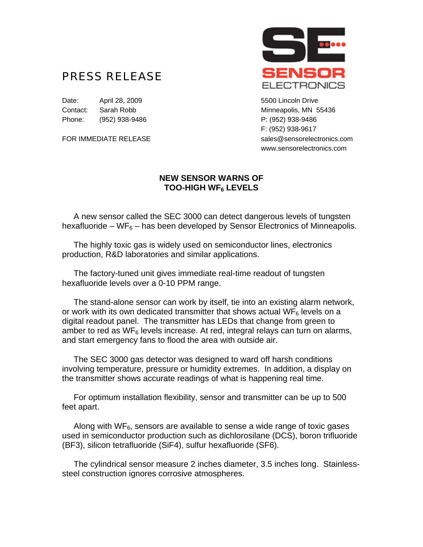## PRESS RELEASE

Date: April 28, 2009 5500 Lincoln Drive Contact: Sarah Robb Minneapolis, MN 55436 Phone: (952) 938-9486 P: (952) 938-9486



F: (952) 938-9617 FOR IMMEDIATE RELEASE sales@sensorelectronics.com www.sensorelectronics.com

## **NEW SENSOR WARNS OF TOO-HIGH WF6 LEVELS**

 A new sensor called the SEC 3000 can detect dangerous levels of tungsten hexafluoride – WF $_6$  – has been developed by Sensor Electronics of Minneapolis.

 The highly toxic gas is widely used on semiconductor lines, electronics production, R&D laboratories and similar applications.

 The factory-tuned unit gives immediate real-time readout of tungsten hexafluoride levels over a 0-10 PPM range.

 The stand-alone sensor can work by itself, tie into an existing alarm network, or work with its own dedicated transmitter that shows actual  $\text{WF}_6$  levels on a digital readout panel. The transmitter has LEDs that change from green to amber to red as  $WF_6$  levels increase. At red, integral relays can turn on alarms, and start emergency fans to flood the area with outside air.

 The SEC 3000 gas detector was designed to ward off harsh conditions involving temperature, pressure or humidity extremes. In addition, a display on the transmitter shows accurate readings of what is happening real time.

 For optimum installation flexibility, sensor and transmitter can be up to 500 feet apart.

Along with  $WF<sub>6</sub>$ , sensors are available to sense a wide range of toxic gases used in semiconductor production such as dichlorosilane (DCS), boron trifluoride (BF3), silicon tetrafluoride (SiF4), sulfur hexafluoride (SF6).

 The cylindrical sensor measure 2 inches diameter, 3.5 inches long. Stainlesssteel construction ignores corrosive atmospheres.